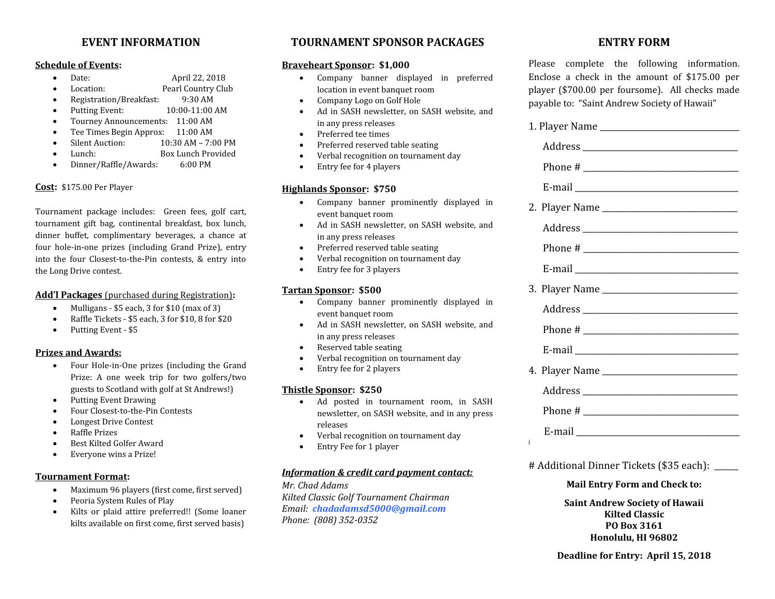## **EVENT INFORMATION**

#### **Schedule of Events:**

- Date: April 22, 2018
	- Location: Pearl Country Club
- Registration/Breakfast: 9:30 AM
- Putting Event: 10:00-11:00 AM
- Tourney Announcements: 11:00 AM
- Tee Times Begin Approx: 11:00 AM
- Silent Auction: 10:30 AM 7:00 PM
- Lunch: Box Lunch Provided
- Dinner/Raffle/Awards: 6:00 PM

#### **Cost:** \$175.00 Per Player

Tournament package includes: Green fees, golf cart, tournament gift bag, continental breakfast, box lunch, dinner buffet, complimentary beverages, a chance at four hole-in-one prizes (including Grand Prize), entry into the four Closest-to-the-Pin contests, & entry into the Long Drive contest.

#### **Add'l Packages** (purchased during Registration)**:**

- $\bullet$  Mulligans \$5 each, 3 for \$10 (max of 3)
- Raffle Tickets \$5 each, 3 for \$10, 8 for \$20
- Putting Event \$5

#### **Prizes and Awards:**

- Four Hole-in-One prizes (including the Grand Prize: A one week trip for two golfers/two guests to Scotland with golf at St Andrews!)
- Putting Event Drawing
- Four Closest-to-the-Pin Contests
- Longest Drive Contest
- Raffle Prizes
- Best Kilted Golfer Award
- Everyone wins a Prize!

#### **Tournament Format:**

- Maximum 96 players (first come, first served)
- Peoria System Rules of Play
- Kilts or plaid attire preferred!! (Some loaner kilts available on first come, first served basis)

## **TOURNAMENT SPONSOR PACKAGES**

#### **Braveheart Sponsor: \$1,000**

- Company banner displayed in preferred location in event banquet room
- Company Logo on Golf Hole
- Ad in SASH newsletter, on SASH website, and in any press releases
- Preferred tee times
- Preferred reserved table seating
- Verbal recognition on tournament day
- Entry fee for 4 players

#### **Highlands Sponsor: \$750**

- Company banner prominently displayed in event banquet room
- Ad in SASH newsletter, on SASH website, and in any press releases
- Preferred reserved table seating
- Verbal recognition on tournament day
- Entry fee for 3 players

#### **Tartan Sponsor: \$500**

- Company banner prominently displayed in event banquet room
- Ad in SASH newsletter, on SASH website, and in any press releases
- Reserved table seating
- Verbal recognition on tournament day
- Entry fee for 2 players

#### **Thistle Sponsor: \$250**

- Ad posted in tournament room, in SASH newsletter, on SASH website, and in any press releases
- Verbal recognition on tournament day
- Entry Fee for 1 player

#### *Information & credit card payment contact:*

*Mr. Chad Adams Kilted Classic Golf Tournament Chairman Email: chadadamsd5000@gmail.com Phone: (808) 352-0352*

## **ENTRY FORM**

Please complete the following information. Enclose a check in the amount of \$175.00 per player (\$700.00 per foursome). All checks made payable to: "Saint Andrew Society of Hawaii"

| $\mathbf{J}$ |
|--------------|

# Additional Dinner Tickets (\$35 each): \_\_\_\_\_\_

#### **Mail Entry Form and Check to:**

**Saint Andrew Society of Hawaii Kilted Classic PO Box 3161 Honolulu, HI 96802**

**Deadline for Entry: April 15, 2018**